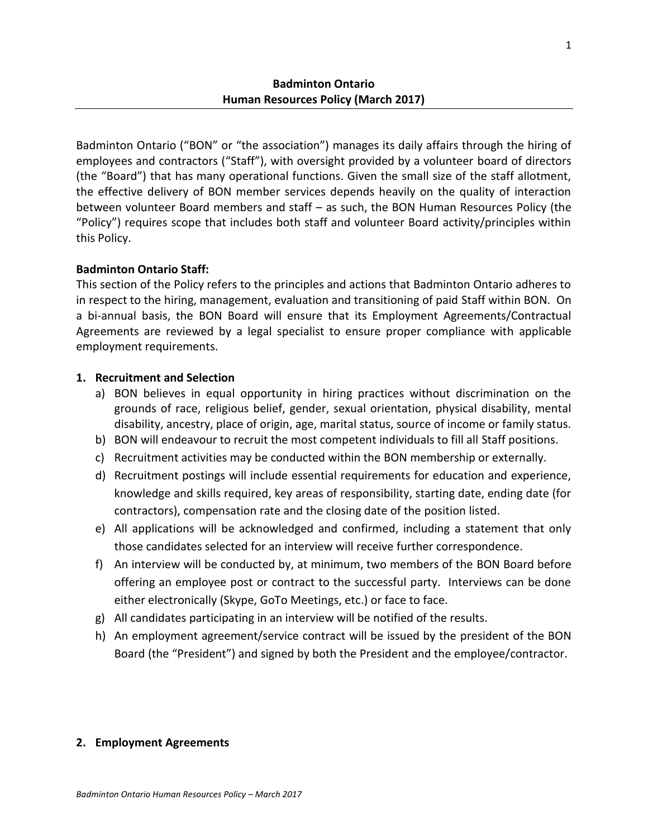Badminton Ontario ("BON" or "the association") manages its daily affairs through the hiring of employees and contractors ("Staff"), with oversight provided by a volunteer board of directors (the "Board") that has many operational functions. Given the small size of the staff allotment, the effective delivery of BON member services depends heavily on the quality of interaction between volunteer Board members and staff – as such, the BON Human Resources Policy (the "Policy") requires scope that includes both staff and volunteer Board activity/principles within this Policy.

# **Badminton Ontario Staff:**

This section of the Policy refers to the principles and actions that Badminton Ontario adheres to in respect to the hiring, management, evaluation and transitioning of paid Staff within BON. On a bi-annual basis, the BON Board will ensure that its Employment Agreements/Contractual Agreements are reviewed by a legal specialist to ensure proper compliance with applicable employment requirements.

# **1. Recruitment and Selection**

- a) BON believes in equal opportunity in hiring practices without discrimination on the grounds of race, religious belief, gender, sexual orientation, physical disability, mental disability, ancestry, place of origin, age, marital status, source of income or family status.
- b) BON will endeavour to recruit the most competent individuals to fill all Staff positions.
- c) Recruitment activities may be conducted within the BON membership or externally.
- d) Recruitment postings will include essential requirements for education and experience, knowledge and skills required, key areas of responsibility, starting date, ending date (for contractors), compensation rate and the closing date of the position listed.
- e) All applications will be acknowledged and confirmed, including a statement that only those candidates selected for an interview will receive further correspondence.
- f) An interview will be conducted by, at minimum, two members of the BON Board before offering an employee post or contract to the successful party. Interviews can be done either electronically (Skype, GoTo Meetings, etc.) or face to face.
- g) All candidates participating in an interview will be notified of the results.
- h) An employment agreement/service contract will be issued by the president of the BON Board (the "President") and signed by both the President and the employee/contractor.

## **2. Employment Agreements**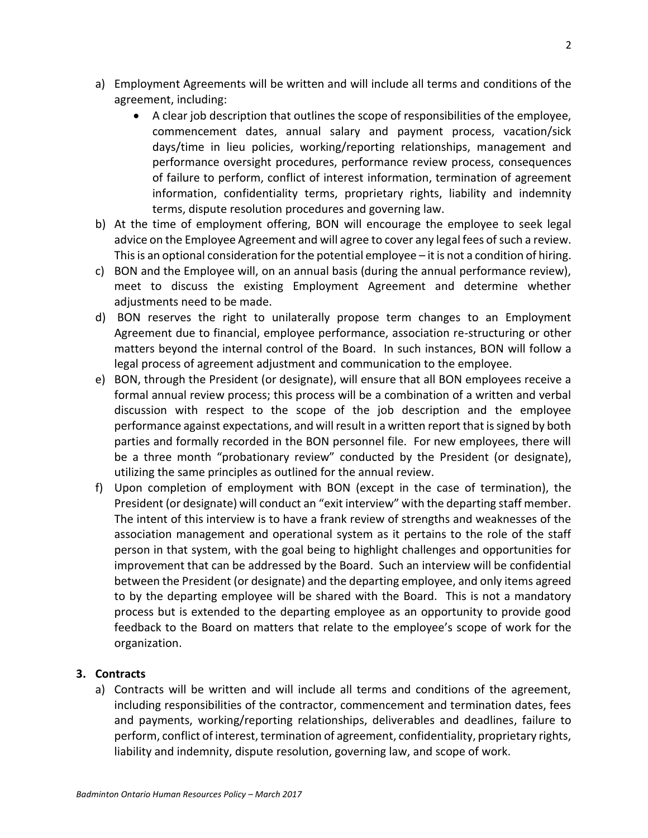- a) Employment Agreements will be written and will include all terms and conditions of the agreement, including:
	- A clear job description that outlines the scope of responsibilities of the employee, commencement dates, annual salary and payment process, vacation/sick days/time in lieu policies, working/reporting relationships, management and performance oversight procedures, performance review process, consequences of failure to perform, conflict of interest information, termination of agreement information, confidentiality terms, proprietary rights, liability and indemnity terms, dispute resolution procedures and governing law.
- b) At the time of employment offering, BON will encourage the employee to seek legal advice on the Employee Agreement and will agree to cover any legal fees of such a review. This is an optional consideration for the potential employee – it is not a condition of hiring.
- c) BON and the Employee will, on an annual basis (during the annual performance review), meet to discuss the existing Employment Agreement and determine whether adjustments need to be made.
- d) BON reserves the right to unilaterally propose term changes to an Employment Agreement due to financial, employee performance, association re-structuring or other matters beyond the internal control of the Board. In such instances, BON will follow a legal process of agreement adjustment and communication to the employee.
- e) BON, through the President (or designate), will ensure that all BON employees receive a formal annual review process; this process will be a combination of a written and verbal discussion with respect to the scope of the job description and the employee performance against expectations, and will result in a written report that is signed by both parties and formally recorded in the BON personnel file. For new employees, there will be a three month "probationary review" conducted by the President (or designate), utilizing the same principles as outlined for the annual review.
- f) Upon completion of employment with BON (except in the case of termination), the President (or designate) will conduct an "exit interview" with the departing staff member. The intent of this interview is to have a frank review of strengths and weaknesses of the association management and operational system as it pertains to the role of the staff person in that system, with the goal being to highlight challenges and opportunities for improvement that can be addressed by the Board. Such an interview will be confidential between the President (or designate) and the departing employee, and only items agreed to by the departing employee will be shared with the Board. This is not a mandatory process but is extended to the departing employee as an opportunity to provide good feedback to the Board on matters that relate to the employee's scope of work for the organization.

## **3. Contracts**

a) Contracts will be written and will include all terms and conditions of the agreement, including responsibilities of the contractor, commencement and termination dates, fees and payments, working/reporting relationships, deliverables and deadlines, failure to perform, conflict of interest, termination of agreement, confidentiality, proprietary rights, liability and indemnity, dispute resolution, governing law, and scope of work.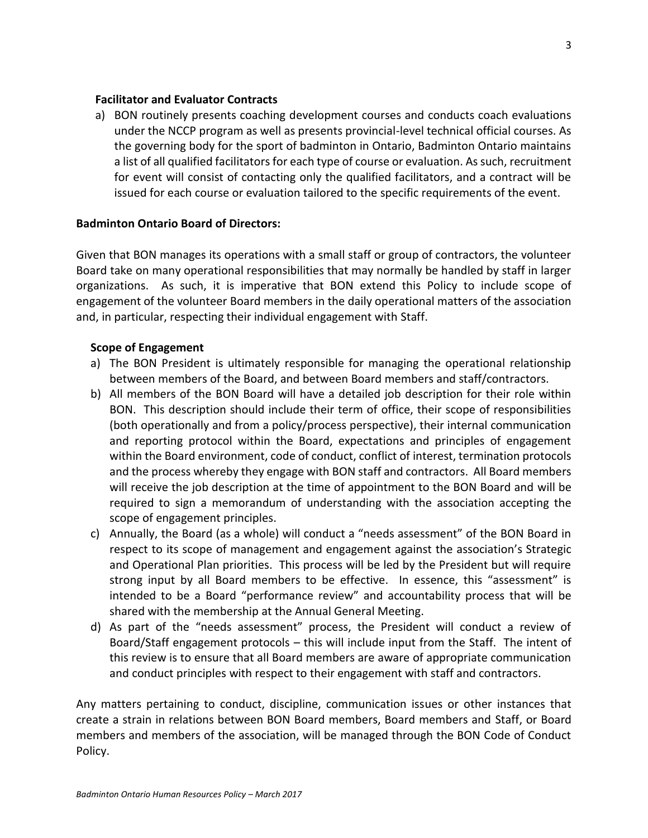### **Facilitator and Evaluator Contracts**

a) BON routinely presents coaching development courses and conducts coach evaluations under the NCCP program as well as presents provincial-level technical official courses. As the governing body for the sport of badminton in Ontario, Badminton Ontario maintains a list of all qualified facilitators for each type of course or evaluation. As such, recruitment for event will consist of contacting only the qualified facilitators, and a contract will be issued for each course or evaluation tailored to the specific requirements of the event.

### **Badminton Ontario Board of Directors:**

Given that BON manages its operations with a small staff or group of contractors, the volunteer Board take on many operational responsibilities that may normally be handled by staff in larger organizations. As such, it is imperative that BON extend this Policy to include scope of engagement of the volunteer Board members in the daily operational matters of the association and, in particular, respecting their individual engagement with Staff.

### **Scope of Engagement**

- a) The BON President is ultimately responsible for managing the operational relationship between members of the Board, and between Board members and staff/contractors.
- b) All members of the BON Board will have a detailed job description for their role within BON. This description should include their term of office, their scope of responsibilities (both operationally and from a policy/process perspective), their internal communication and reporting protocol within the Board, expectations and principles of engagement within the Board environment, code of conduct, conflict of interest, termination protocols and the process whereby they engage with BON staff and contractors. All Board members will receive the job description at the time of appointment to the BON Board and will be required to sign a memorandum of understanding with the association accepting the scope of engagement principles.
- c) Annually, the Board (as a whole) will conduct a "needs assessment" of the BON Board in respect to its scope of management and engagement against the association's Strategic and Operational Plan priorities. This process will be led by the President but will require strong input by all Board members to be effective. In essence, this "assessment" is intended to be a Board "performance review" and accountability process that will be shared with the membership at the Annual General Meeting.
- d) As part of the "needs assessment" process, the President will conduct a review of Board/Staff engagement protocols – this will include input from the Staff. The intent of this review is to ensure that all Board members are aware of appropriate communication and conduct principles with respect to their engagement with staff and contractors.

Any matters pertaining to conduct, discipline, communication issues or other instances that create a strain in relations between BON Board members, Board members and Staff, or Board members and members of the association, will be managed through the BON Code of Conduct Policy.